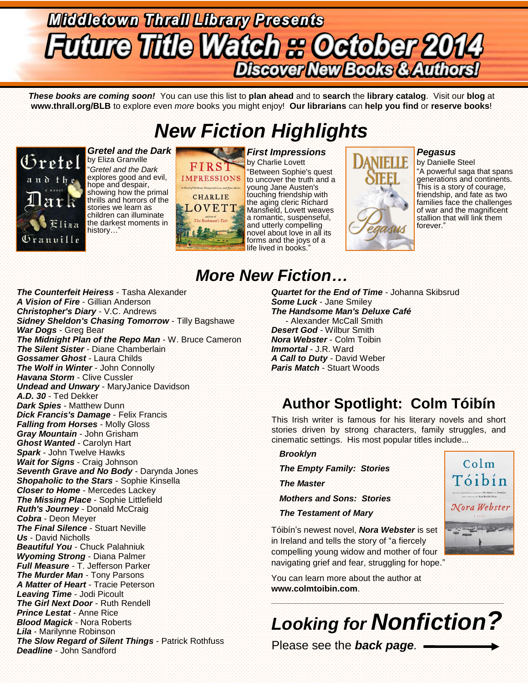# **Middletown Thrall Library Presents Discover New Books & Authors!**

*These books are coming soon!* You can use this list to **plan ahead** and to **search** the **library catalog**. Visit our **blog** at **www.thrall.org/BLB** to explore even *more* books you might enjoy! **Our librarians** can **help you find** or **reserve books**!

## *New Fiction Highlights*



*Gretel and the Dark* by Eliza Granville "*Gretel and the Dark*  explores good and evil, hope and despair, showing how the primal thrills and horrors of the stories we learn as children can illuminate the darkest moments in history…"



by Charlie Lovett "Between Sophie's quest to uncover the truth and a young Jane Austen's touching friendship with the aging cleric Richard Mansfield, Lovett weaves a romantic, suspenseful, and utterly compelling novel about love in all its forms and the joys of a life lived in books."



#### *Pegasus*

by Danielle Steel "A powerful saga that spans generations and continents. This is a story of courage, friendship, and fate as two families face the challenges of war and the magnificent stallion that will link them forever."

## *More New Fiction…*

*The Counterfeit Heiress* - Tasha Alexander *A Vision of Fire* - Gillian Anderson *Christopher's Diary* - V.C. Andrews *Sidney Sheldon's Chasing Tomorrow* - Tilly Bagshawe *War Dogs* - Greg Bear *The Midnight Plan of the Repo Man* - W. Bruce Cameron *The Silent Sister* - Diane Chamberlain *Gossamer Ghost* - Laura Childs *The Wolf in Winter* - John Connolly *Havana Storm* - Clive Cussler *Undead and Unwary* - MaryJanice Davidson *A.D. 30* - Ted Dekker *Dark Spies* - Matthew Dunn *Dick Francis's Damage* - Felix Francis *Falling from Horses* - Molly Gloss *Gray Mountain* - John Grisham *Ghost Wanted* - Carolyn Hart *Spark* - John Twelve Hawks *Wait for Signs* - Craig Johnson *Seventh Grave and No Body* - Darynda Jones *Shopaholic to the Stars* - Sophie Kinsella *Closer to Home* - Mercedes Lackey *The Missing Place* - Sophie Littlefield *Ruth's Journey* - Donald McCraig *Cobra* - Deon Meyer *The Final Silence* - Stuart Neville *Us* - David Nicholls *Beautiful You* - Chuck Palahniuk *Wyoming Strong* - Diana Palmer *Full Measure* - T. Jefferson Parker *The Murder Man* - Tony Parsons *A Matter of Heart* - Tracie Peterson *Leaving Time* - Jodi Picoult *The Girl Next Door* - Ruth Rendell *Prince Lestat* - Anne Rice *Blood Magick* - Nora Roberts *Lila* - Marilynne Robinson *The Slow Regard of Silent Things* - Patrick Rothfuss *Deadline* - John Sandford

*Quartet for the End of Time* - Johanna Skibsrud *Some Luck* - Jane Smiley *The Handsome Man's Deluxe Café* - Alexander McCall Smith *Desert God* - Wilbur Smith *Nora Webster* - Colm Toibin *Immortal* - J.R. Ward *A Call to Duty* - David Weber *Paris Match* - Stuart Woods

## **Author Spotlight: Colm Tóibín**

This Irish writer is famous for his literary novels and short stories driven by strong characters, family struggles, and cinematic settings. His most popular titles include...

#### *Brooklyn*

*The Empty Family: Stories*

*The Master*

*Mothers and Sons: Stories*

*The Testament of Mary*

Tóibín's newest novel, *Nora Webster* is set in Ireland and tells the story of "a fiercely compelling young widow and mother of four navigating grief and fear, struggling for hope."

You can learn more about the author at **www.colmtoibin.com**.

*Looking for Nonfiction?*

\_\_\_\_\_\_\_\_\_\_\_\_\_\_\_\_\_\_\_\_\_\_\_\_\_\_\_\_\_\_\_\_\_\_\_\_\_\_\_\_\_\_\_\_\_\_\_\_\_\_\_\_\_\_\_\_\_\_\_\_\_\_\_\_\_\_\_\_\_\_\_\_\_\_\_\_\_\_\_\_\_\_\_\_\_\_\_\_\_\_\_\_\_\_\_\_\_

Please see the *back page.*